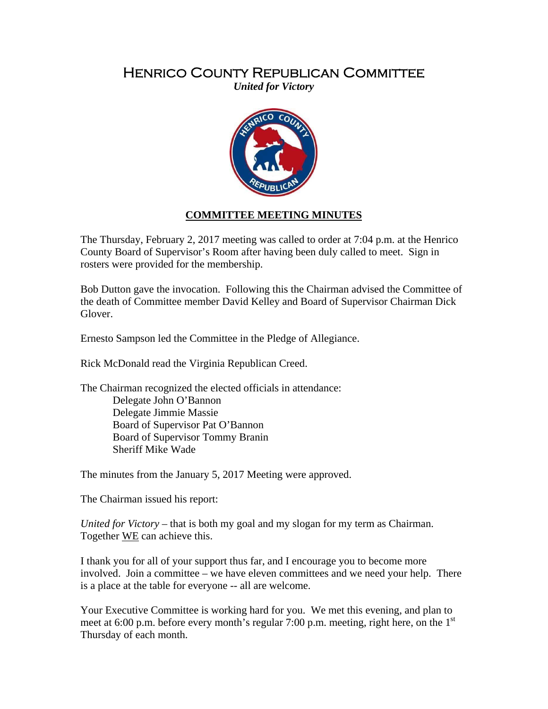## Henrico County Republican Committee

*United for Victory* 



## **COMMITTEE MEETING MINUTES**

The Thursday, February 2, 2017 meeting was called to order at 7:04 p.m. at the Henrico County Board of Supervisor's Room after having been duly called to meet. Sign in rosters were provided for the membership.

Bob Dutton gave the invocation. Following this the Chairman advised the Committee of the death of Committee member David Kelley and Board of Supervisor Chairman Dick Glover.

Ernesto Sampson led the Committee in the Pledge of Allegiance.

Rick McDonald read the Virginia Republican Creed.

The Chairman recognized the elected officials in attendance:

 Delegate John O'Bannon Delegate Jimmie Massie Board of Supervisor Pat O'Bannon Board of Supervisor Tommy Branin Sheriff Mike Wade

The minutes from the January 5, 2017 Meeting were approved.

The Chairman issued his report:

*United for Victory* – that is both my goal and my slogan for my term as Chairman. Together WE can achieve this.

I thank you for all of your support thus far, and I encourage you to become more involved. Join a committee – we have eleven committees and we need your help. There is a place at the table for everyone -- all are welcome.

Your Executive Committee is working hard for you. We met this evening, and plan to meet at 6:00 p.m. before every month's regular 7:00 p.m. meeting, right here, on the  $1<sup>st</sup>$ Thursday of each month.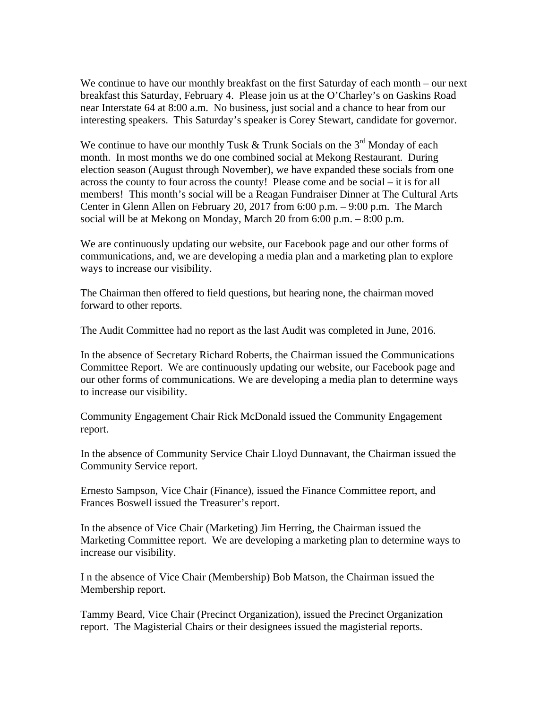We continue to have our monthly breakfast on the first Saturday of each month – our next breakfast this Saturday, February 4. Please join us at the O'Charley's on Gaskins Road near Interstate 64 at 8:00 a.m. No business, just social and a chance to hear from our interesting speakers. This Saturday's speaker is Corey Stewart, candidate for governor.

We continue to have our monthly Tusk  $&$  Trunk Socials on the 3<sup>rd</sup> Monday of each month. In most months we do one combined social at Mekong Restaurant. During election season (August through November), we have expanded these socials from one across the county to four across the county! Please come and be social – it is for all members! This month's social will be a Reagan Fundraiser Dinner at The Cultural Arts Center in Glenn Allen on February 20, 2017 from 6:00 p.m. – 9:00 p.m. The March social will be at Mekong on Monday, March 20 from 6:00 p.m. – 8:00 p.m.

We are continuously updating our website, our Facebook page and our other forms of communications, and, we are developing a media plan and a marketing plan to explore ways to increase our visibility.

The Chairman then offered to field questions, but hearing none, the chairman moved forward to other reports.

The Audit Committee had no report as the last Audit was completed in June, 2016.

In the absence of Secretary Richard Roberts, the Chairman issued the Communications Committee Report. We are continuously updating our website, our Facebook page and our other forms of communications. We are developing a media plan to determine ways to increase our visibility.

Community Engagement Chair Rick McDonald issued the Community Engagement report.

In the absence of Community Service Chair Lloyd Dunnavant, the Chairman issued the Community Service report.

Ernesto Sampson, Vice Chair (Finance), issued the Finance Committee report, and Frances Boswell issued the Treasurer's report.

In the absence of Vice Chair (Marketing) Jim Herring, the Chairman issued the Marketing Committee report. We are developing a marketing plan to determine ways to increase our visibility.

I n the absence of Vice Chair (Membership) Bob Matson, the Chairman issued the Membership report.

Tammy Beard, Vice Chair (Precinct Organization), issued the Precinct Organization report. The Magisterial Chairs or their designees issued the magisterial reports.